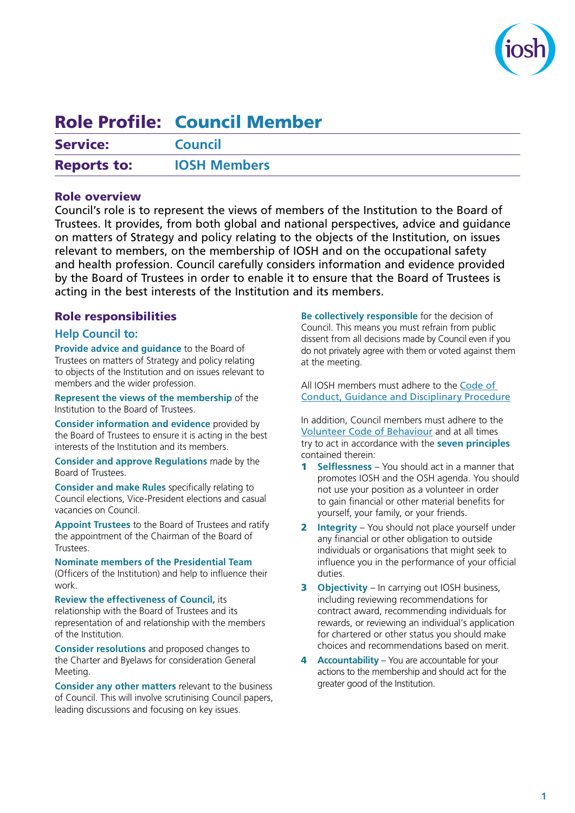

# Role Profile: Council Member

| <b>Service:</b>    | <b>Council</b>      |
|--------------------|---------------------|
| <b>Reports to:</b> | <b>IOSH Members</b> |

# Role overview

Council's role is to represent the views of members of the Institution to the Board of Trustees. It provides, from both global and national perspectives, advice and guidance on matters of Strategy and policy relating to the objects of the Institution, on issues relevant to members, on the membership of IOSH and on the occupational safety and health profession. Council carefully considers information and evidence provided by the Board of Trustees in order to enable it to ensure that the Board of Trustees is acting in the best interests of the Institution and its members.

# Role responsibilities

## **Help Council to:**

**Provide advice and guidance** to the Board of Trustees on matters of Strategy and policy relating to objects of the Institution and on issues relevant to members and the wider profession.

**Represent the views of the membership** of the Institution to the Board of Trustees.

**Consider information and evidence** provided by the Board of Trustees to ensure it is acting in the best interests of the Institution and its members.

**Consider and approve Regulations** made by the Board of Trustees.

**Consider and make Rules** specifically relating to Council elections, Vice-President elections and casual vacancies on Council.

**Appoint Trustees** to the Board of Trustees and ratify the appointment of the Chairman of the Board of Trustees.

**Nominate members of the Presidential Team** (Officers of the Institution) and help to influence their work.

**Review the effectiveness of Council,** its relationship with the Board of Trustees and its representation of and relationship with the members of the Institution.

**Consider resolutions** and proposed changes to the Charter and Byelaws for consideration General Meeting.

**Consider any other matters** relevant to the business of Council. This will involve scrutinising Council papers, leading discussions and focusing on key issues.

**Be collectively responsible** for the decision of Council. This means you must refrain from public dissent from all decisions made by Council even if you do not privately agree with them or voted against them at the meeting.

All IOSH members must adhere to the [Code of](https://iosh.com/media/7826/iosh-code-of-conduct.pdf)  [Conduct, Guidance and Disciplinary Procedure](https://iosh.com/media/7826/iosh-code-of-conduct.pdf)

In addition, Council members must adhere to the [Volunteer Code of Behaviour](https://iosh.com/media/7905/iosh-volunteer-code-of-behaviour_v2.pdf) and at all times try to act in accordance with the **seven principles** contained therein:

- 1 **Selflessness** You should act in a manner that promotes IOSH and the OSH agenda. You should not use your position as a volunteer in order to gain financial or other material benefits for yourself, your family, or your friends.
- 2 **Integrity** You should not place yourself under any financial or other obligation to outside individuals or organisations that might seek to influence you in the performance of your official duties.
- 3 **Objectivity** In carrying out IOSH business, including reviewing recommendations for contract award, recommending individuals for rewards, or reviewing an individual's application for chartered or other status you should make choices and recommendations based on merit.
- 4 **Accountability** You are accountable for your actions to the membership and should act for the greater good of the Institution.